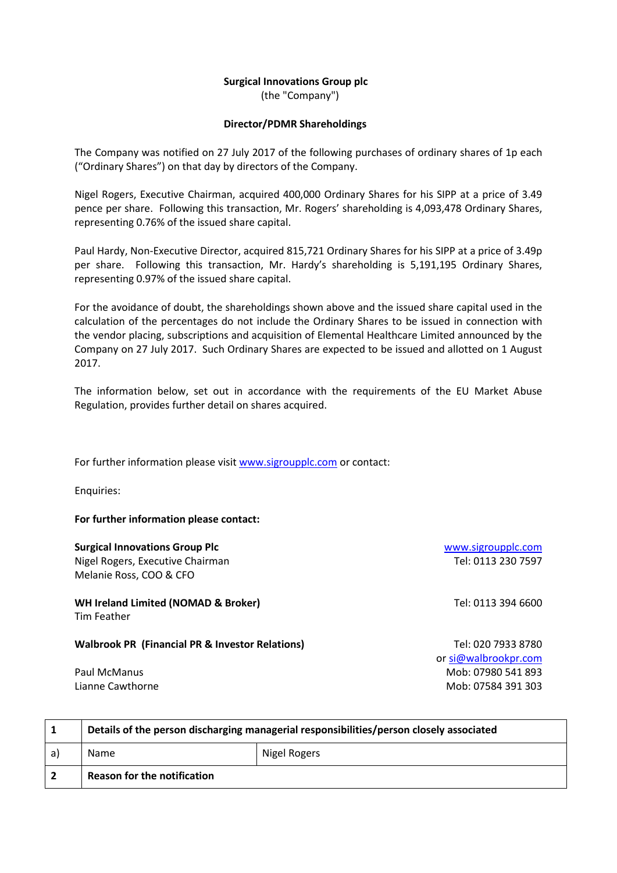# **Surgical Innovations Group plc**

(the "Company")

## **Director/PDMR Shareholdings**

The Company was notified on 27 July 2017 of the following purchases of ordinary shares of 1p each ("Ordinary Shares") on that day by directors of the Company.

Nigel Rogers, Executive Chairman, acquired 400,000 Ordinary Shares for his SIPP at a price of 3.49 pence per share. Following this transaction, Mr. Rogers' shareholding is 4,093,478 Ordinary Shares, representing 0.76% of the issued share capital.

Paul Hardy, Non-Executive Director, acquired 815,721 Ordinary Shares for his SIPP at a price of 3.49p per share. Following this transaction, Mr. Hardy's shareholding is 5,191,195 Ordinary Shares, representing 0.97% of the issued share capital.

For the avoidance of doubt, the shareholdings shown above and the issued share capital used in the calculation of the percentages do not include the Ordinary Shares to be issued in connection with the vendor placing, subscriptions and acquisition of Elemental Healthcare Limited announced by the Company on 27 July 2017. Such Ordinary Shares are expected to be issued and allotted on 1 August 2017.

The information below, set out in accordance with the requirements of the EU Market Abuse Regulation, provides further detail on shares acquired.

For further information please visit [www.sigroupplc.com](http://www.sigroupplc.com/) or contact:

Enquiries:

### **For further information please contact:**

### **Surgical Innovations Group Plc Surgical Innovations Group Plc [www.sigroupplc.com](http://www.sigroupplc.com/)**

Nigel Rogers, Executive Chairman Tel: 0113 230 7597 Melanie Ross, COO & CFO

**WH Ireland Limited (NOMAD & Broker)** Tel: 0113 394 6600 Tim Feather

### **Walbrook PR (Financial PR & Investor Relations)** Tel: 020 7933 8780

or [si@walbrookpr.com](mailto:si@walbrookpr.com) Paul McManus 2012 12:00 12:00 12:00 12:00 12:00 12:00 12:00 12:00 12:00 12:00 12:00 12:00 12:00 12:00 12:00 12:00 12:00 12:00 12:00 12:00 12:00 12:00 12:00 12:00 12:00 12:00 12:00 12:00 12:00 12:00 12:00 12:00 12:00 12:00 Lianne Cawthorne **Mobissity** Care Mobissity Care Mobissity Mobissity Mobissity Mobissity Mobissity Mobissity Mob

|    | Details of the person discharging managerial responsibilities/person closely associated |              |  |
|----|-----------------------------------------------------------------------------------------|--------------|--|
| a) | Name                                                                                    | Nigel Rogers |  |
|    | <b>Reason for the notification</b>                                                      |              |  |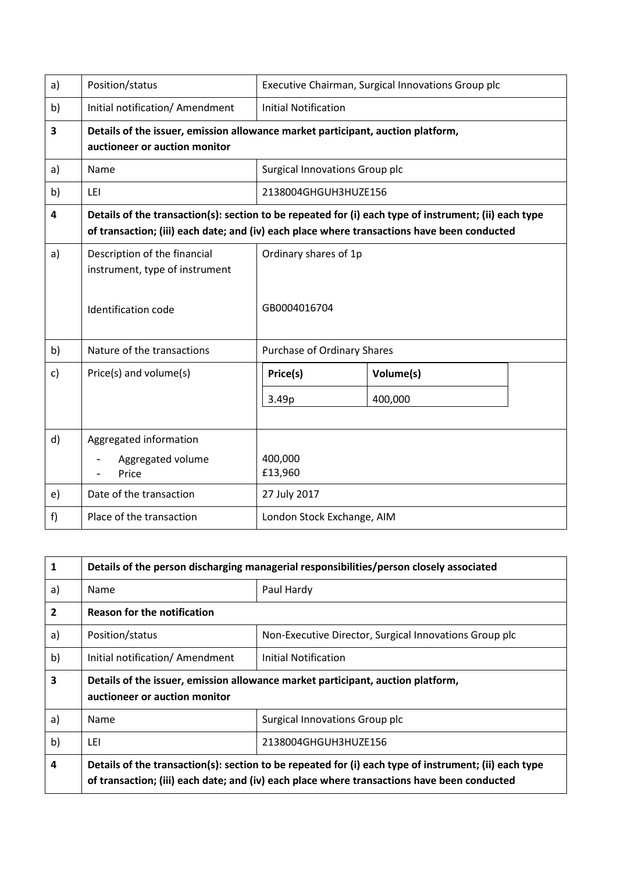| a) | Position/status                                                                                                                                                                                      | Executive Chairman, Surgical Innovations Group plc |           |  |
|----|------------------------------------------------------------------------------------------------------------------------------------------------------------------------------------------------------|----------------------------------------------------|-----------|--|
| b) | Initial notification/ Amendment                                                                                                                                                                      | <b>Initial Notification</b>                        |           |  |
| 3  | Details of the issuer, emission allowance market participant, auction platform,<br>auctioneer or auction monitor                                                                                     |                                                    |           |  |
| a) | Name                                                                                                                                                                                                 | Surgical Innovations Group plc                     |           |  |
| b) | LEI                                                                                                                                                                                                  | 2138004GHGUH3HUZE156                               |           |  |
| 4  | Details of the transaction(s): section to be repeated for (i) each type of instrument; (ii) each type<br>of transaction; (iii) each date; and (iv) each place where transactions have been conducted |                                                    |           |  |
| a) | Description of the financial<br>instrument, type of instrument                                                                                                                                       | Ordinary shares of 1p                              |           |  |
|    | Identification code                                                                                                                                                                                  | GB0004016704                                       |           |  |
| b) | Nature of the transactions                                                                                                                                                                           | Purchase of Ordinary Shares                        |           |  |
| c) | Price(s) and volume(s)                                                                                                                                                                               | Price(s)                                           | Volume(s) |  |
|    |                                                                                                                                                                                                      | 3.49p                                              | 400,000   |  |
| d) | Aggregated information                                                                                                                                                                               |                                                    |           |  |
|    | Aggregated volume<br>Price                                                                                                                                                                           | 400,000<br>£13,960                                 |           |  |
| e) | Date of the transaction                                                                                                                                                                              | 27 July 2017                                       |           |  |
| f) | Place of the transaction                                                                                                                                                                             | London Stock Exchange, AIM                         |           |  |

| $\mathbf{1}$ | Details of the person discharging managerial responsibilities/person closely associated                                                                                                              |                                                        |  |
|--------------|------------------------------------------------------------------------------------------------------------------------------------------------------------------------------------------------------|--------------------------------------------------------|--|
| a)           | Name                                                                                                                                                                                                 | Paul Hardy                                             |  |
| $\mathbf{2}$ | <b>Reason for the notification</b>                                                                                                                                                                   |                                                        |  |
| a)           | Position/status                                                                                                                                                                                      | Non-Executive Director, Surgical Innovations Group plc |  |
| b)           | Initial notification/ Amendment                                                                                                                                                                      | Initial Notification                                   |  |
| 3            | Details of the issuer, emission allowance market participant, auction platform,<br>auctioneer or auction monitor                                                                                     |                                                        |  |
| a)           | <b>Name</b>                                                                                                                                                                                          | Surgical Innovations Group plc                         |  |
| b)           | LEI                                                                                                                                                                                                  | 2138004GHGUH3HUZE156                                   |  |
| 4            | Details of the transaction(s): section to be repeated for (i) each type of instrument; (ii) each type<br>of transaction; (iii) each date; and (iv) each place where transactions have been conducted |                                                        |  |